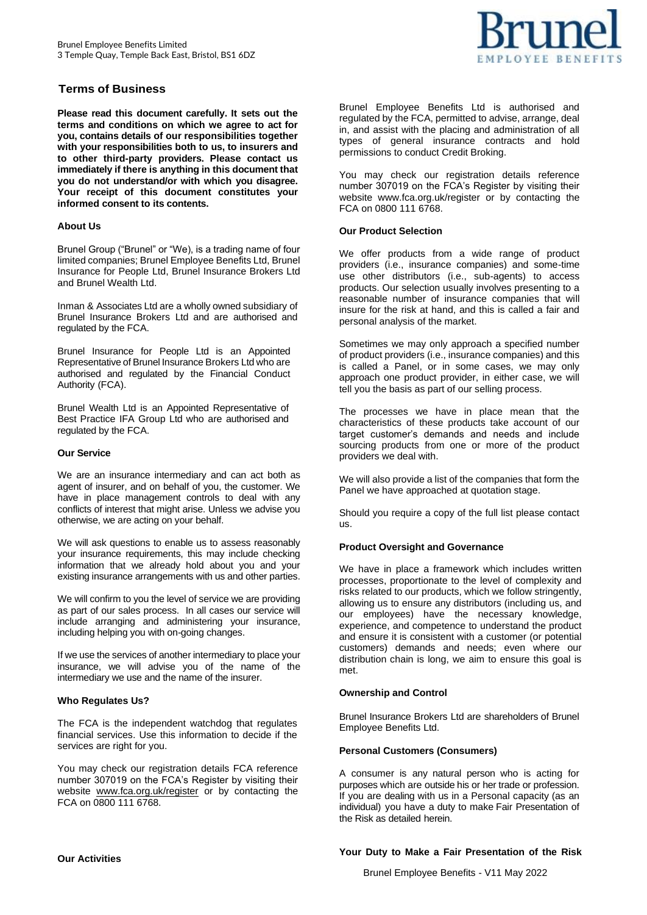# **Terms of Business**

**Please read this document carefully. It sets out the terms and conditions on which we agree to act for you, contains details of our responsibilities together with your responsibilities both to us, to insurers and to other third-party providers. Please contact us immediately if there is anything in this document that you do not understand/or with which you disagree. Your receipt of this document constitutes your informed consent to its contents.**

### **About Us**

Brunel Group ("Brunel" or "We), is a trading name of four limited companies; Brunel Employee Benefits Ltd, Brunel Insurance for People Ltd, Brunel Insurance Brokers Ltd and Brunel Wealth Ltd.

Inman & Associates Ltd are a wholly owned subsidiary of Brunel Insurance Brokers Ltd and are authorised and regulated by the FCA.

Brunel Insurance for People Ltd is an Appointed Representative of Brunel Insurance Brokers Ltd who are authorised and regulated by the Financial Conduct Authority (FCA).

Brunel Wealth Ltd is an Appointed Representative of Best Practice IFA Group Ltd who are authorised and regulated by the FCA.

### **Our Service**

We are an insurance intermediary and can act both as agent of insurer, and on behalf of you, the customer. We have in place management controls to deal with any conflicts of interest that might arise. Unless we advise you otherwise, we are acting on your behalf.

We will ask questions to enable us to assess reasonably your insurance requirements, this may include checking information that we already hold about you and your existing insurance arrangements with us and other parties.

We will confirm to you the level of service we are providing as part of our sales process. In all cases our service will include arranging and administering your insurance, including helping you with on-going changes.

If we use the services of another intermediary to place your insurance, we will advise you of the name of the intermediary we use and the name of the insurer.

### **Who Regulates Us?**

The FCA is the independent watchdog that regulates financial services. Use this information to decide if the services are right for you.

You may check our registration details FCA reference number 307019 on the FCA's Register by visiting their website [www.fca.org.uk/register](http://www.fca.org.uk/register) or by contacting the FCA on 0800 111 6768.



Brunel Employee Benefits Ltd is authorised and regulated by the FCA, permitted to advise, arrange, deal in, and assist with the placing and administration of all types of general insurance contracts and hold permissions to conduct Credit Broking.

You may check our registration details reference number 307019 on the FCA's Register by visiting their website [www.fca.org.uk/register o](http://www.fca.org.uk/register)r by contacting the FCA on 0800 111 6768.

### **Our Product Selection**

We offer products from a wide range of product providers (i.e., insurance companies) and some-time use other distributors (i.e., sub-agents) to access products. Our selection usually involves presenting to a reasonable number of insurance companies that will insure for the risk at hand, and this is called a fair and personal analysis of the market.

Sometimes we may only approach a specified number of product providers (i.e., insurance companies) and this is called a Panel, or in some cases, we may only approach one product provider, in either case, we will tell you the basis as part of our selling process.

The processes we have in place mean that the characteristics of these products take account of our target customer's demands and needs and include sourcing products from one or more of the product providers we deal with.

We will also provide a list of the companies that form the Panel we have approached at quotation stage.

Should you require a copy of the full list please contact us.

## **Product Oversight and Governance**

We have in place a framework which includes written processes, proportionate to the level of complexity and risks related to our products, which we follow stringently, allowing us to ensure any distributors (including us, and our employees) have the necessary knowledge, experience, and competence to understand the product and ensure it is consistent with a customer (or potential customers) demands and needs; even where our distribution chain is long, we aim to ensure this goal is met.

## **Ownership and Control**

Brunel Insurance Brokers Ltd are shareholders of Brunel Employee Benefits Ltd.

### **Personal Customers (Consumers)**

A consumer is any natural person who is acting for purposes which are outside his or her trade or profession. If you are dealing with us in a Personal capacity (as an individual) you have a duty to make Fair Presentation of the Risk as detailed herein.

### **Our Activities**

### **Your Duty to Make a Fair Presentation of the Risk**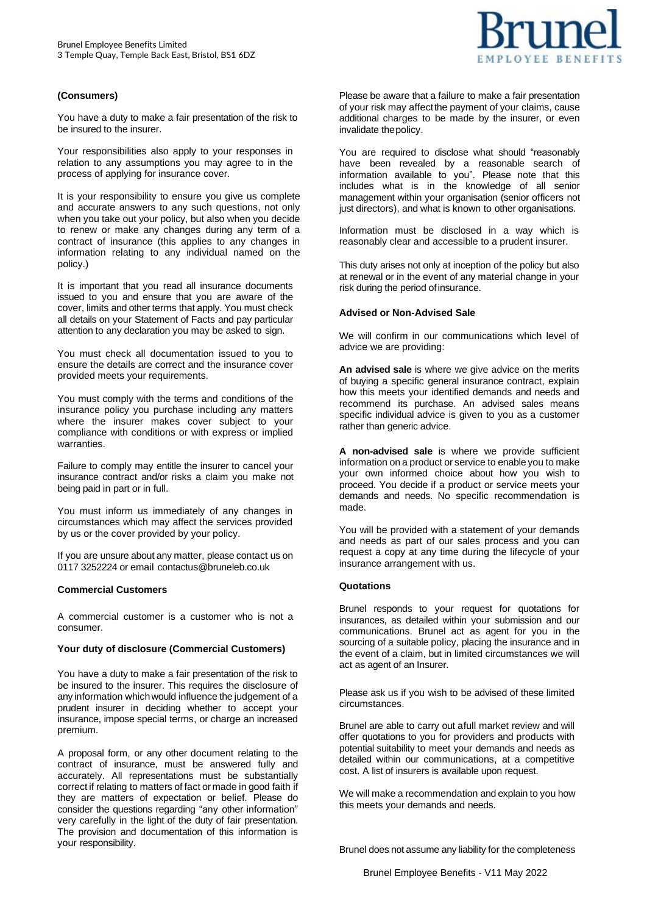### **(Consumers)**

You have a duty to make a fair presentation of the risk to be insured to the insurer.

Your responsibilities also apply to your responses in relation to any assumptions you may agree to in the process of applying for insurance cover.

It is your responsibility to ensure you give us complete and accurate answers to any such questions, not only when you take out your policy, but also when you decide to renew or make any changes during any term of a contract of insurance (this applies to any changes in information relating to any individual named on the policy.)

It is important that you read all insurance documents issued to you and ensure that you are aware of the cover, limits and other terms that apply. You must check all details on your Statement of Facts and pay particular attention to any declaration you may be asked to sign.

You must check all documentation issued to you to ensure the details are correct and the insurance cover provided meets your requirements.

You must comply with the terms and conditions of the insurance policy you purchase including any matters where the insurer makes cover subject to your compliance with conditions or with express or implied warranties.

Failure to comply may entitle the insurer to cancel your insurance contract and/or risks a claim you make not being paid in part or in full.

You must inform us immediately of any changes in circumstances which may affect the services provided by us or the cover provided by your policy.

If you are unsure about any matter, please contact us on 0117 3252224 or email [contactus@bruneleb.co.uk](mailto:contactus@bruneleb.co.uk)

### **Commercial Customers**

A commercial customer is a customer who is not a consumer.

#### **Your duty of disclosure (Commercial Customers)**

You have a duty to make a fair presentation of the risk to be insured to the insurer. This requires the disclosure of any information whichwould influence the judgement of a prudent insurer in deciding whether to accept your insurance, impose special terms, or charge an increased premium.

A proposal form, or any other document relating to the contract of insurance, must be answered fully and accurately. All representations must be substantially correct if relating to matters of fact or made in good faith if they are matters of expectation or belief. Please do consider the questions regarding "any other information" very carefully in the light of the duty of fair presentation. The provision and documentation of this information is your responsibility.

Please be aware that a failure to make a fair presentation of your risk may affectthe payment of your claims, cause additional charges to be made by the insurer, or even invalidate thepolicy.

You are required to disclose what should "reasonably have been revealed by a reasonable search of information available to you". Please note that this includes what is in the knowledge of all senior management within your organisation (senior officers not just directors), and what is known to other organisations.

Information must be disclosed in a way which is reasonably clear and accessible to a prudent insurer.

This duty arises not only at inception of the policy but also at renewal or in the event of any material change in your risk during the period of insurance.

#### **Advised or Non-Advised Sale**

We will confirm in our communications which level of advice we are providing:

**An advised sale** is where we give advice on the merits of buying a specific general insurance contract, explain how this meets your identified demands and needs and recommend its purchase. An advised sales means specific individual advice is given to you as a customer rather than generic advice.

**A non-advised sale** is where we provide sufficient information on a product or service to enable you to make your own informed choice about how you wish to proceed. You decide if a product or service meets your demands and needs. No specific recommendation is made.

You will be provided with a statement of your demands and needs as part of our sales process and you can request a copy at any time during the lifecycle of your insurance arrangement with us.

#### **Quotations**

Brunel responds to your request for quotations for insurances, as detailed within your submission and our communications. Brunel act as agent for you in the sourcing of a suitable policy, placing the insurance and in the event of a claim, but in limited circumstances we will act as agent of an Insurer.

Please ask us if you wish to be advised of these limited circumstances.

Brunel are able to carry out afull market review and will offer quotations to you for providers and products with potential suitability to meet your demands and needs as detailed within our communications, at a competitive cost. A list of insurers is available upon request.

We will make a recommendation and explain to you how this meets your demands and needs.

Brunel does not assume any liability for the completeness

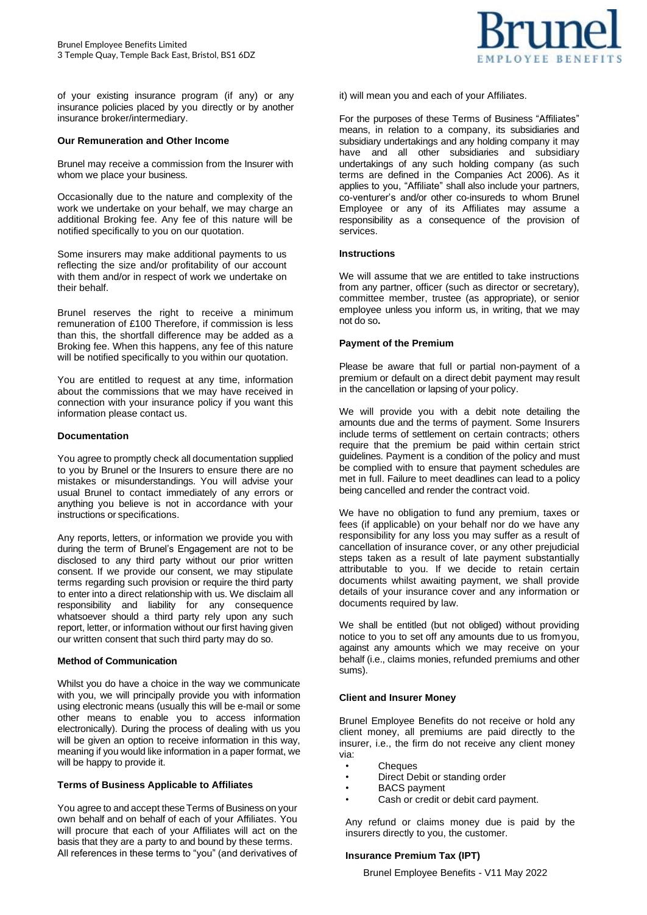of your existing insurance program (if any) or any insurance policies placed by you directly or by another insurance broker/intermediary.

#### **Our Remuneration and Other Income**

Brunel may receive a commission from the Insurer with whom we place your business.

Occasionally due to the nature and complexity of the work we undertake on your behalf, we may charge an additional Broking fee. Any fee of this nature will be notified specifically to you on our quotation.

Some insurers may make additional payments to us reflecting the size and/or profitability of our account with them and/or in respect of work we undertake on their behalf.

Brunel reserves the right to receive a minimum remuneration of £100 Therefore, if commission is less than this, the shortfall difference may be added as a Broking fee. When this happens, any fee of this nature will be notified specifically to you within our quotation.

You are entitled to request at any time, information about the commissions that we may have received in connection with your insurance policy if you want this information please contact us.

#### **Documentation**

You agree to promptly check all documentation supplied to you by Brunel or the Insurers to ensure there are no mistakes or misunderstandings. You will advise your usual Brunel to contact immediately of any errors or anything you believe is not in accordance with your instructions or specifications.

Any reports, letters, or information we provide you with during the term of Brunel's Engagement are not to be disclosed to any third party without our prior written consent. If we provide our consent, we may stipulate terms regarding such provision or require the third party to enter into a direct relationship with us. We disclaim all responsibility and liability for any consequence whatsoever should a third party rely upon any such report, letter, or information without our first having given our written consent that such third party may do so.

#### **Method of Communication**

Whilst you do have a choice in the way we communicate with you, we will principally provide you with information using electronic means (usually this will be e-mail or some other means to enable you to access information electronically). During the process of dealing with us you will be given an option to receive information in this way, meaning if you would like information in a paper format, we will be happy to provide it.

### **Terms of Business Applicable to Affiliates**

You agree to and accept these Terms of Business on your own behalf and on behalf of each of your Affiliates. You will procure that each of your Affiliates will act on the basis that they are a party to and bound by these terms. All references in these terms to "you" (and derivatives of

it) will mean you and each of your Affiliates.

For the purposes of these Terms of Business "Affiliates" means, in relation to a company, its subsidiaries and subsidiary undertakings and any holding company it may have and all other subsidiaries and subsidiary undertakings of any such holding company (as such terms are defined in the Companies Act 2006). As it applies to you, "Affiliate" shall also include your partners, co-venturer's and/or other co-insureds to whom Brunel Employee or any of its Affiliates may assume a responsibility as a consequence of the provision of services.

#### **Instructions**

We will assume that we are entitled to take instructions from any partner, officer (such as director or secretary), committee member, trustee (as appropriate), or senior employee unless you inform us, in writing, that we may not do so**.**

#### **Payment of the Premium**

Please be aware that full or partial non-payment of a premium or default on a direct debit payment may result in the cancellation or lapsing of your policy.

We will provide you with a debit note detailing the amounts due and the terms of payment. Some Insurers include terms of settlement on certain contracts; others require that the premium be paid within certain strict guidelines. Payment is a condition of the policy and must be complied with to ensure that payment schedules are met in full. Failure to meet deadlines can lead to a policy being cancelled and render the contract void.

We have no obligation to fund any premium, taxes or fees (if applicable) on your behalf nor do we have any responsibility for any loss you may suffer as a result of cancellation of insurance cover, or any other prejudicial steps taken as a result of late payment substantially attributable to you. If we decide to retain certain documents whilst awaiting payment, we shall provide details of your insurance cover and any information or documents required by law.

We shall be entitled (but not obliged) without providing notice to you to set off any amounts due to us fromyou, against any amounts which we may receive on your behalf (i.e., claims monies, refunded premiums and other sums).

### **Client and Insurer Money**

Brunel Employee Benefits do not receive or hold any client money, all premiums are paid directly to the insurer, i.e., the firm do not receive any client money via:

- **Cheques**
- Direct Debit or standing order
- BACS payment
- Cash or credit or debit card payment.

Any refund or claims money due is paid by the insurers directly to you, the customer.

### **Insurance Premium Tax (IPT)**

Brunel Employee Benefits - V11 May 2022

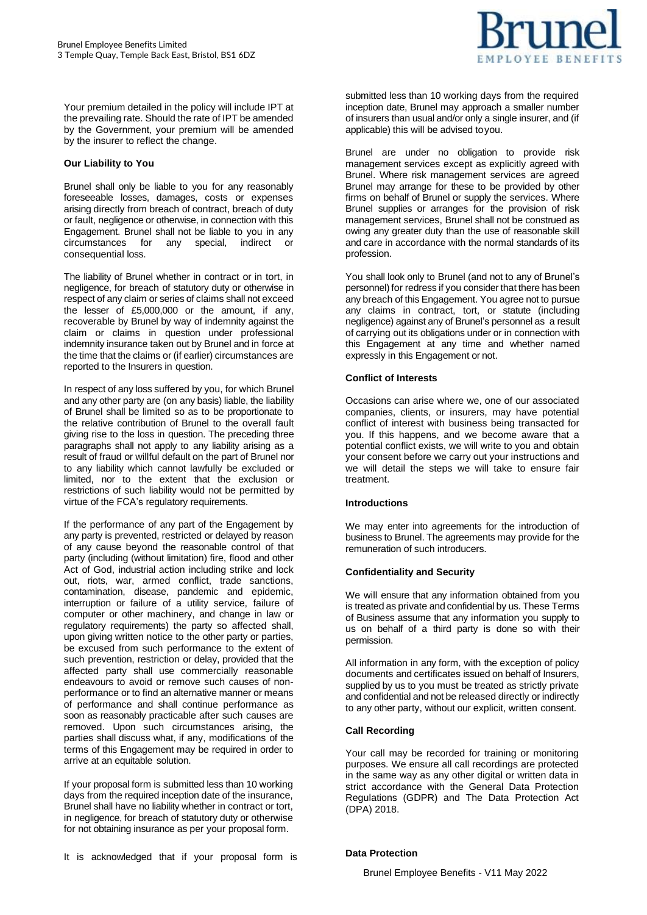

Your premium detailed in the policy will include IPT at the prevailing rate. Should the rate of IPT be amended by the Government, your premium will be amended by the insurer to reflect the change.

### **Our Liability to You**

Brunel shall only be liable to you for any reasonably foreseeable losses, damages, costs or expenses arising directly from breach of contract, breach of duty or fault, negligence or otherwise, in connection with this Engagement. Brunel shall not be liable to you in any circumstances for any special, indirect or consequential loss.

The liability of Brunel whether in contract or in tort, in negligence, for breach of statutory duty or otherwise in respect of any claim or series of claims shall not exceed the lesser of £5,000,000 or the amount, if any, recoverable by Brunel by way of indemnity against the claim or claims in question under professional indemnity insurance taken out by Brunel and in force at the time that the claims or (if earlier) circumstances are reported to the Insurers in question.

In respect of any loss suffered by you, for which Brunel and any other party are (on any basis) liable, the liability of Brunel shall be limited so as to be proportionate to the relative contribution of Brunel to the overall fault giving rise to the loss in question. The preceding three paragraphs shall not apply to any liability arising as a result of fraud or willful default on the part of Brunel nor to any liability which cannot lawfully be excluded or limited, nor to the extent that the exclusion or restrictions of such liability would not be permitted by virtue of the FCA's regulatory requirements.

If the performance of any part of the Engagement by any party is prevented, restricted or delayed by reason of any cause beyond the reasonable control of that party (including (without limitation) fire, flood and other Act of God, industrial action including strike and lock out, riots, war, armed conflict, trade sanctions, contamination, disease, pandemic and epidemic, interruption or failure of a utility service, failure of computer or other machinery, and change in law or regulatory requirements) the party so affected shall, upon giving written notice to the other party or parties, be excused from such performance to the extent of such prevention, restriction or delay, provided that the affected party shall use commercially reasonable endeavours to avoid or remove such causes of nonperformance or to find an alternative manner or means of performance and shall continue performance as soon as reasonably practicable after such causes are removed. Upon such circumstances arising, the parties shall discuss what, if any, modifications of the terms of this Engagement may be required in order to arrive at an equitable solution.

If your proposal form is submitted less than 10 working days from the required inception date of the insurance, Brunel shall have no liability whether in contract or tort, in negligence, for breach of statutory duty or otherwise for not obtaining insurance as per your proposal form.

It is acknowledged that if your proposal form is

submitted less than 10 working days from the required inception date, Brunel may approach a smaller number of insurers than usual and/or only a single insurer, and (if applicable) this will be advised toyou.

Brunel are under no obligation to provide risk management services except as explicitly agreed with Brunel. Where risk management services are agreed Brunel may arrange for these to be provided by other firms on behalf of Brunel or supply the services. Where Brunel supplies or arranges for the provision of risk management services, Brunel shall not be construed as owing any greater duty than the use of reasonable skill and care in accordance with the normal standards of its profession.

You shall look only to Brunel (and not to any of Brunel's personnel) for redress if you consider that there has been any breach of this Engagement. You agree not to pursue any claims in contract, tort, or statute (including negligence) against any of Brunel's personnel as a result of carrying out its obligations under or in connection with this Engagement at any time and whether named expressly in this Engagement or not.

## **Conflict of Interests**

Occasions can arise where we, one of our associated companies, clients, or insurers, may have potential conflict of interest with business being transacted for you. If this happens, and we become aware that a potential conflict exists, we will write to you and obtain your consent before we carry out your instructions and we will detail the steps we will take to ensure fair treatment.

### **Introductions**

We may enter into agreements for the introduction of business to Brunel. The agreements may provide for the remuneration of such introducers.

## **Confidentiality and Security**

We will ensure that any information obtained from you is treated as private and confidential by us. These Terms of Business assume that any information you supply to us on behalf of a third party is done so with their permission.

All information in any form, with the exception of policy documents and certificates issued on behalf of Insurers, supplied by us to you must be treated as strictly private and confidential and not be released directly or indirectly to any other party, without our explicit, written consent.

### **Call Recording**

Your call may be recorded for training or monitoring purposes. We ensure all call recordings are protected in the same way as any other digital or written data in strict accordance with the General Data Protection Regulations (GDPR) and The Data Protection Act (DPA) 2018.

## **Data Protection**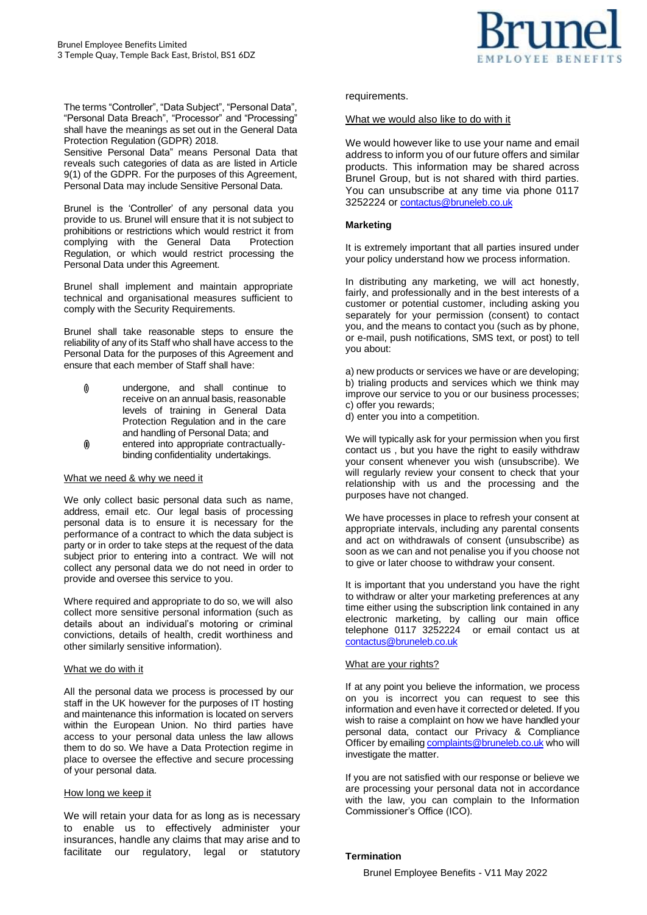

The terms "Controller", "Data Subject", "Personal Data", "Personal Data Breach", "Processor" and "Processing" shall have the meanings as set out in the General Data Protection Regulation (GDPR) 2018.

Sensitive Personal Data" means Personal Data that reveals such categories of data as are listed in Article 9(1) of the GDPR. For the purposes of this Agreement, Personal Data may include Sensitive Personal Data.

Brunel is the 'Controller' of any personal data you provide to us. Brunel will ensure that it is not subject to prohibitions or restrictions which would restrict it from complying with the General Data Protection Regulation, or which would restrict processing the Personal Data under this Agreement.

Brunel shall implement and maintain appropriate technical and organisational measures sufficient to comply with the Security Requirements.

Brunel shall take reasonable steps to ensure the reliability of any of its Staff who shall have access to the Personal Data for the purposes of this Agreement and ensure that each member of Staff shall have:

- undergone, and shall continue to receive on an annual basis, reasonable levels of training in General Data Protection Regulation and in the care and handling of Personal Data; and
- (i) entered into appropriate contractuallybinding confidentiality undertakings.

### What we need & why we need it

We only collect basic personal data such as name, address, email etc. Our legal basis of processing personal data is to ensure it is necessary for the performance of a contract to which the data subject is party or in order to take steps at the request of the data subject prior to entering into a contract. We will not collect any personal data we do not need in order to provide and oversee this service to you.

Where required and appropriate to do so, we will also collect more sensitive personal information (such as details about an individual's motoring or criminal convictions, details of health, credit worthiness and other similarly sensitive information).

#### What we do with it

All the personal data we process is processed by our staff in the UK however for the purposes of IT hosting and maintenance this information is located on servers within the European Union. No third parties have access to your personal data unless the law allows them to do so. We have a Data Protection regime in place to oversee the effective and secure processing of your personal data.

### How long we keep it

We will retain your data for as long as is necessary to enable us to effectively administer your insurances, handle any claims that may arise and to facilitate our regulatory, legal or statutory requirements.

### What we would also like to do with it

We would however like to use your name and email address to inform you of our future offers and similar products. This information may be shared across Brunel Group, but is not shared with third parties. You can unsubscribe at any time via phone 0117 3252224 or contactus@bruneleb.co.uk

### **Marketing**

It is extremely important that all parties insured under your policy understand how we process information.

In distributing any marketing, we will act honestly, fairly, and professionally and in the best interests of a customer or potential customer, including asking you separately for your permission (consent) to contact you, and the means to contact you (such as by phone, or e-mail, push notifications, SMS text, or post) to tell you about:

a) new products or services we have or are developing; b) trialing products and services which we think may improve our service to you or our business processes; c) offer you rewards;

d) enter you into a competition.

We will typically ask for your permission when you first contact us , but you have the right to easily withdraw your consent whenever you wish (unsubscribe). We will regularly review your consent to check that your relationship with us and the processing and the purposes have not changed.

We have processes in place to refresh your consent at appropriate intervals, including any parental consents and act on withdrawals of consent (unsubscribe) as soon as we can and not penalise you if you choose not to give or later choose to withdraw your consent.

It is important that you understand you have the right to withdraw or alter your marketing preferences at any time either using the subscription link contained in any electronic marketing, by calling our main office telephone 0117 3252224 or email contact us at contactus@bruneleb.co.uk

### What are your rights?

If at any point you believe the information, we process on you is incorrect you can request to see this information and even have it corrected or deleted. If you wish to raise a complaint on how we have handled your personal data, contact our Privacy & Compliance Officer by emailin[g complaints@bruneleb.co.uk](mailto:complaints@bruneleb.co.uk) who will investigate the matter.

If you are not satisfied with our response or believe we are processing your personal data not in accordance with the law, you can complain to the Information Commissioner's Office (ICO).

### **Termination**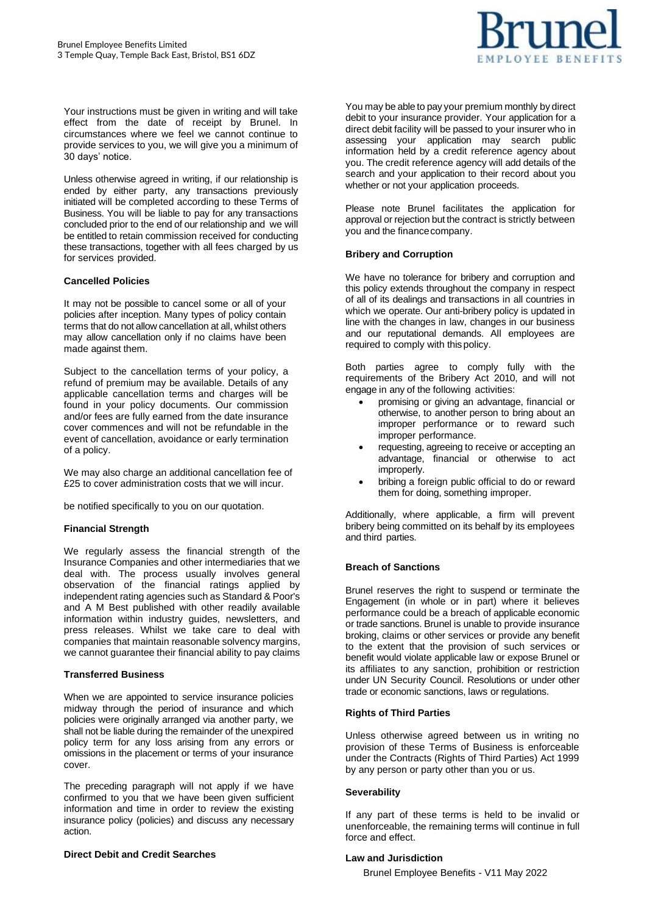

Your instructions must be given in writing and will take effect from the date of receipt by Brunel. In circumstances where we feel we cannot continue to provide services to you, we will give you a minimum of 30 days' notice.

Unless otherwise agreed in writing, if our relationship is ended by either party, any transactions previously initiated will be completed according to these Terms of Business. You will be liable to pay for any transactions concluded prior to the end of our relationship and we will be entitled to retain commission received for conducting these transactions, together with all fees charged by us for services provided.

### **Cancelled Policies**

It may not be possible to cancel some or all of your policies after inception. Many types of policy contain terms that do not allow cancellation at all, whilst others may allow cancellation only if no claims have been made against them.

Subject to the cancellation terms of your policy, a refund of premium may be available. Details of any applicable cancellation terms and charges will be found in your policy documents. Our commission and/or fees are fully earned from the date insurance cover commences and will not be refundable in the event of cancellation, avoidance or early termination of a policy.

We may also charge an additional cancellation fee of £25 to cover administration costs that we will incur.

be notified specifically to you on our quotation.

## **Financial Strength**

We regularly assess the financial strength of the Insurance Companies and other intermediaries that we deal with. The process usually involves general observation of the financial ratings applied by independent rating agencies such as Standard & Poor's and A M Best published with other readily available information within industry guides, newsletters, and press releases. Whilst we take care to deal with companies that maintain reasonable solvency margins, we cannot guarantee their financial ability to pay claims

### **Transferred Business**

When we are appointed to service insurance policies midway through the period of insurance and which policies were originally arranged via another party, we shall not be liable during the remainder of the unexpired policy term for any loss arising from any errors or omissions in the placement or terms of your insurance cover.

The preceding paragraph will not apply if we have confirmed to you that we have been given sufficient information and time in order to review the existing insurance policy (policies) and discuss any necessary action.

### **Direct Debit and Credit Searches**

You may be able to pay your premium monthly by direct debit to your insurance provider. Your application for a direct debit facility will be passed to your insurer who in assessing your application may search public information held by a credit reference agency about you. The credit reference agency will add details of the search and your application to their record about you whether or not your application proceeds.

Please note Brunel facilitates the application for approval or rejection but the contract is strictly between you and the financecompany.

### **Bribery and Corruption**

We have no tolerance for bribery and corruption and this policy extends throughout the company in respect of all of its dealings and transactions in all countries in which we operate. Our anti-bribery policy is updated in line with the changes in law, changes in our business and our reputational demands. All employees are required to comply with this policy.

Both parties agree to comply fully with the requirements of the Bribery Act 2010, and will not engage in any of the following activities:

- promising or giving an advantage, financial or otherwise, to another person to bring about an improper performance or to reward such improper performance.
- requesting, agreeing to receive or accepting an advantage, financial or otherwise to act improperly.
- bribing a foreign public official to do or reward them for doing, something improper.

Additionally, where applicable, a firm will prevent bribery being committed on its behalf by its employees and third parties.

## **Breach of Sanctions**

Brunel reserves the right to suspend or terminate the Engagement (in whole or in part) where it believes performance could be a breach of applicable economic or trade sanctions. Brunel is unable to provide insurance broking, claims or other services or provide any benefit to the extent that the provision of such services or benefit would violate applicable law or expose Brunel or its affiliates to any sanction, prohibition or restriction under UN Security Council. Resolutions or under other trade or economic sanctions, laws or regulations.

### **Rights of Third Parties**

Unless otherwise agreed between us in writing no provision of these Terms of Business is enforceable under the Contracts (Rights of Third Parties) Act 1999 by any person or party other than you or us.

### **Severability**

If any part of these terms is held to be invalid or unenforceable, the remaining terms will continue in full force and effect.

### **Law and Jurisdiction**

Brunel Employee Benefits - V11 May 2022